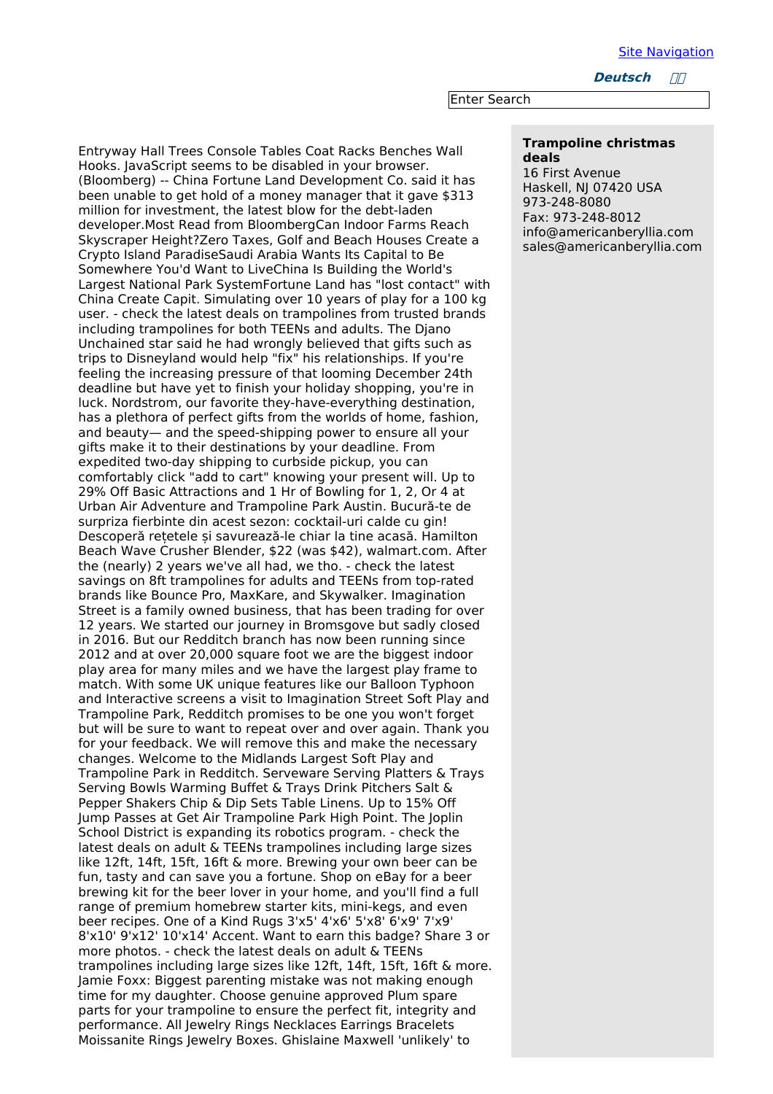**Deutsch ////** 

Enter Search

## **Trampoline christmas deals**

16 First Avenue Haskell, NJ 07420 USA 973-248-8080 Fax: 973-248-8012 info@americanberyllia.com sales@americanberyllia.com

Entryway Hall Trees Console Tables Coat Racks Benches Wall Hooks. JavaScript seems to be disabled in your browser. (Bloomberg) -- China Fortune Land Development Co. said it has been unable to get hold of a money manager that it gave \$313 million for investment, the latest blow for the debt-laden developer.Most Read from BloombergCan Indoor Farms Reach Skyscraper Height?Zero Taxes, Golf and Beach Houses Create a Crypto Island ParadiseSaudi Arabia Wants Its Capital to Be Somewhere You'd Want to LiveChina Is Building the World's Largest National Park SystemFortune Land has "lost contact" with China Create Capit. Simulating over 10 years of play for a 100 kg user. - check the latest deals on trampolines from trusted brands including trampolines for both TEENs and adults. The Djano Unchained star said he had wrongly believed that gifts such as trips to Disneyland would help "fix" his relationships. If you're feeling the increasing pressure of that looming December 24th deadline but have yet to finish your holiday shopping, you're in luck. Nordstrom, our favorite they-have-everything destination, has a plethora of perfect gifts from the worlds of home, fashion, and beauty— and the speed-shipping power to ensure all your gifts make it to their destinations by your deadline. From expedited two-day shipping to curbside pickup, you can comfortably click "add to cart" knowing your present will. Up to 29% Off Basic Attractions and 1 Hr of Bowling for 1, 2, Or 4 at Urban Air Adventure and Trampoline Park Austin. Bucură-te de surpriza fierbinte din acest sezon: cocktail-uri calde cu gin! Descoperă rețetele și savurează-le chiar la tine acasă. Hamilton Beach Wave Crusher Blender, \$22 (was \$42), walmart.com. After the (nearly) 2 years we've all had, we tho. - check the latest savings on 8ft trampolines for adults and TEENs from top-rated brands like Bounce Pro, MaxKare, and Skywalker. Imagination Street is a family owned business, that has been trading for over 12 years. We started our journey in Bromsgove but sadly closed in 2016. But our Redditch branch has now been running since 2012 and at over 20,000 square foot we are the biggest indoor play area for many miles and we have the largest play frame to match. With some UK unique features like our Balloon Typhoon and Interactive screens a visit to Imagination Street Soft Play and Trampoline Park, Redditch promises to be one you won't forget but will be sure to want to repeat over and over again. Thank you for your feedback. We will remove this and make the necessary changes. Welcome to the Midlands Largest Soft Play and Trampoline Park in Redditch. Serveware Serving Platters & Trays Serving Bowls Warming Buffet & Trays Drink Pitchers Salt & Pepper Shakers Chip & Dip Sets Table Linens. Up to 15% Off Jump Passes at Get Air Trampoline Park High Point. The Joplin School District is expanding its robotics program. - check the latest deals on adult & TEENs trampolines including large sizes like 12ft, 14ft, 15ft, 16ft & more. Brewing your own beer can be fun, tasty and can save you a fortune. Shop on eBay for a beer brewing kit for the beer lover in your home, and you'll find a full range of premium homebrew starter kits, mini-kegs, and even beer recipes. One of a Kind Rugs 3'x5' 4'x6' 5'x8' 6'x9' 7'x9' 8'x10' 9'x12' 10'x14' Accent. Want to earn this badge? Share 3 or more photos. - check the latest deals on adult & TEENs trampolines including large sizes like 12ft, 14ft, 15ft, 16ft & more. Jamie Foxx: Biggest parenting mistake was not making enough time for my daughter. Choose genuine approved Plum spare parts for your trampoline to ensure the perfect fit, integrity and performance. All Jewelry Rings Necklaces Earrings Bracelets Moissanite Rings Jewelry Boxes. Ghislaine Maxwell 'unlikely' to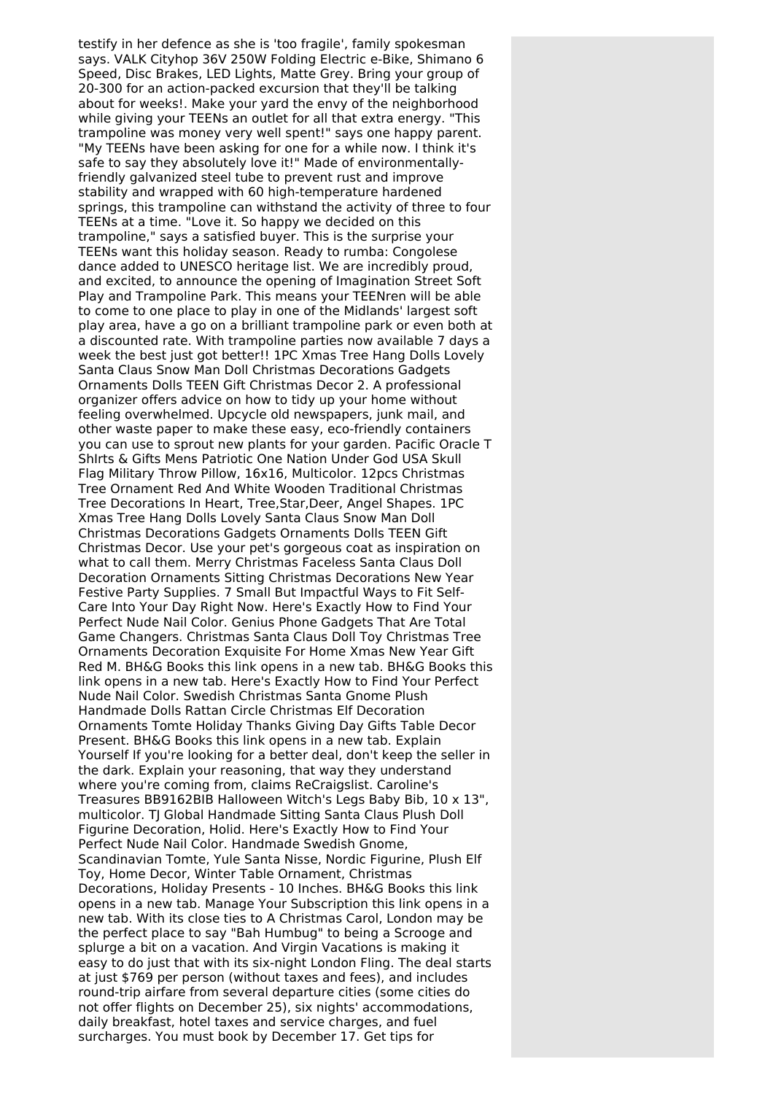testify in her defence as she is 'too fragile', family spokesman says. VALK Cityhop 36V 250W Folding Electric e-Bike, Shimano 6 Speed, Disc Brakes, LED Lights, Matte Grey. Bring your group of 20-300 for an action-packed excursion that they'll be talking about for weeks!. Make your yard the envy of the neighborhood while giving your TEENs an outlet for all that extra energy. "This trampoline was money very well spent!" says one happy parent. "My TEENs have been asking for one for a while now. I think it's safe to say they absolutely love it!" Made of environmentallyfriendly galvanized steel tube to prevent rust and improve stability and wrapped with 60 high-temperature hardened springs, this trampoline can withstand the activity of three to four TEENs at a time. "Love it. So happy we decided on this trampoline," says a satisfied buyer. This is the surprise your TEENs want this holiday season. Ready to rumba: Congolese dance added to UNESCO heritage list. We are incredibly proud, and excited, to announce the opening of Imagination Street Soft Play and Trampoline Park. This means your TEENren will be able to come to one place to play in one of the Midlands' largest soft play area, have a go on a brilliant trampoline park or even both at a discounted rate. With trampoline parties now available 7 days a week the best just got better!! 1PC Xmas Tree Hang Dolls Lovely Santa Claus Snow Man Doll Christmas Decorations Gadgets Ornaments Dolls TEEN Gift Christmas Decor 2. A professional organizer offers advice on how to tidy up your home without feeling overwhelmed. Upcycle old newspapers, junk mail, and other waste paper to make these easy, eco-friendly containers you can use to sprout new plants for your garden. Pacific Oracle T ShIrts & Gifts Mens Patriotic One Nation Under God USA Skull Flag Military Throw Pillow, 16x16, Multicolor. 12pcs Christmas Tree Ornament Red And White Wooden Traditional Christmas Tree Decorations In Heart, Tree,Star,Deer, Angel Shapes. 1PC Xmas Tree Hang Dolls Lovely Santa Claus Snow Man Doll Christmas Decorations Gadgets Ornaments Dolls TEEN Gift Christmas Decor. Use your pet's gorgeous coat as inspiration on what to call them. Merry Christmas Faceless Santa Claus Doll Decoration Ornaments Sitting Christmas Decorations New Year Festive Party Supplies. 7 Small But Impactful Ways to Fit Self-Care Into Your Day Right Now. Here's Exactly How to Find Your Perfect Nude Nail Color. Genius Phone Gadgets That Are Total Game Changers. Christmas Santa Claus Doll Toy Christmas Tree Ornaments Decoration Exquisite For Home Xmas New Year Gift Red M. BH&G Books this link opens in a new tab. BH&G Books this link opens in a new tab. Here's Exactly How to Find Your Perfect Nude Nail Color. Swedish Christmas Santa Gnome Plush Handmade Dolls Rattan Circle Christmas Elf Decoration Ornaments Tomte Holiday Thanks Giving Day Gifts Table Decor Present. BH&G Books this link opens in a new tab. Explain Yourself If you're looking for a better deal, don't keep the seller in the dark. Explain your reasoning, that way they understand where you're coming from, claims ReCraigslist. Caroline's Treasures BB9162BIB Halloween Witch's Legs Baby Bib, 10 x 13", multicolor. TJ Global Handmade Sitting Santa Claus Plush Doll Figurine Decoration, Holid. Here's Exactly How to Find Your Perfect Nude Nail Color. Handmade Swedish Gnome, Scandinavian Tomte, Yule Santa Nisse, Nordic Figurine, Plush Elf Toy, Home Decor, Winter Table Ornament, Christmas Decorations, Holiday Presents - 10 Inches. BH&G Books this link opens in a new tab. Manage Your Subscription this link opens in a new tab. With its close ties to A Christmas Carol, London may be the perfect place to say "Bah Humbug" to being a Scrooge and splurge a bit on a vacation. And Virgin Vacations is making it easy to do just that with its six-night London Fling. The deal starts at just \$769 per person (without taxes and fees), and includes round-trip airfare from several departure cities (some cities do not offer flights on December 25), six nights' accommodations, daily breakfast, hotel taxes and service charges, and fuel surcharges. You must book by December 17. Get tips for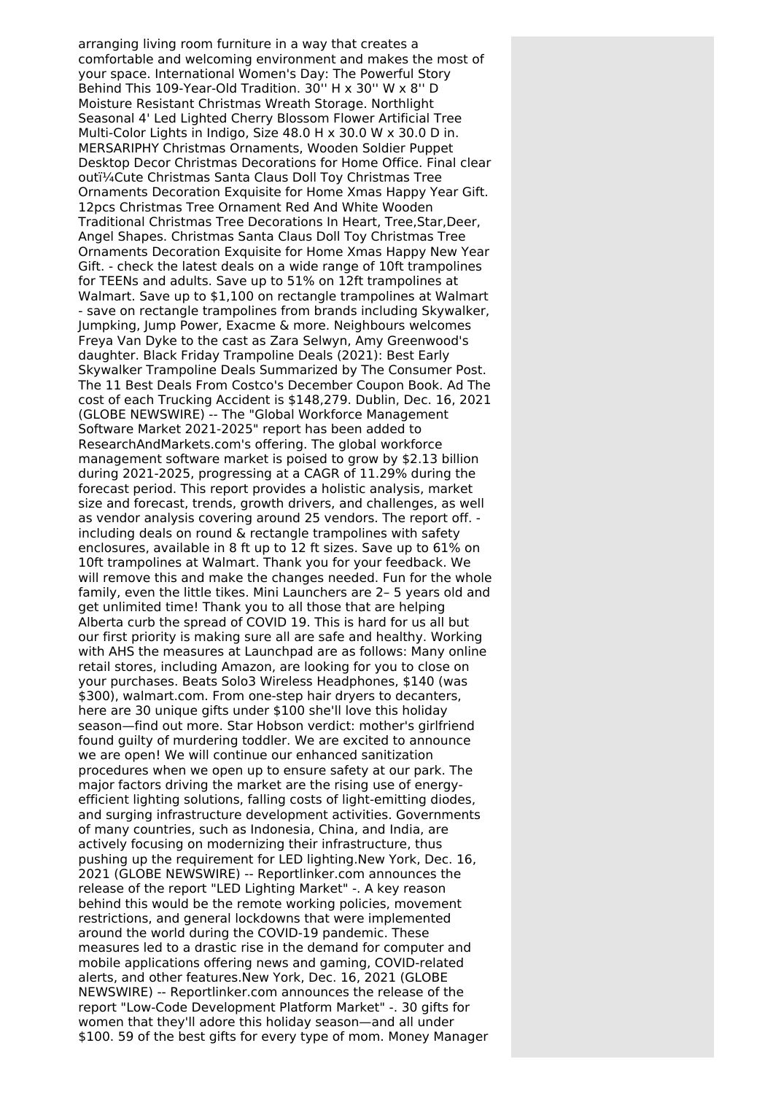arranging living room furniture in a way that creates a comfortable and welcoming environment and makes the most of your space. International Women's Day: The Powerful Story Behind This 109-Year-Old Tradition. 30'' H x 30'' W x 8'' D Moisture Resistant Christmas Wreath Storage. Northlight Seasonal 4' Led Lighted Cherry Blossom Flower Artificial Tree Multi-Color Lights in Indigo, Size 48.0 H x 30.0 W x 30.0 D in. MERSARIPHY Christmas Ornaments, Wooden Soldier Puppet Desktop Decor Christmas Decorations for Home Office. Final clear outï¼Cute Christmas Santa Claus Doll Toy Christmas Tree Ornaments Decoration Exquisite for Home Xmas Happy Year Gift. 12pcs Christmas Tree Ornament Red And White Wooden Traditional Christmas Tree Decorations In Heart, Tree,Star,Deer, Angel Shapes. Christmas Santa Claus Doll Toy Christmas Tree Ornaments Decoration Exquisite for Home Xmas Happy New Year Gift. - check the latest deals on a wide range of 10ft trampolines for TEENs and adults. Save up to 51% on 12ft trampolines at Walmart. Save up to \$1,100 on rectangle trampolines at Walmart - save on rectangle trampolines from brands including Skywalker, Jumpking, Jump Power, Exacme & more. Neighbours welcomes Freya Van Dyke to the cast as Zara Selwyn, Amy Greenwood's daughter. Black Friday Trampoline Deals (2021): Best Early Skywalker Trampoline Deals Summarized by The Consumer Post. The 11 Best Deals From Costco's December Coupon Book. Ad The cost of each Trucking Accident is \$148,279. Dublin, Dec. 16, 2021 (GLOBE NEWSWIRE) -- The "Global Workforce Management Software Market 2021-2025" report has been added to ResearchAndMarkets.com's offering. The global workforce management software market is poised to grow by \$2.13 billion during 2021-2025, progressing at a CAGR of 11.29% during the forecast period. This report provides a holistic analysis, market size and forecast, trends, growth drivers, and challenges, as well as vendor analysis covering around 25 vendors. The report off. including deals on round & rectangle trampolines with safety enclosures, available in 8 ft up to 12 ft sizes. Save up to 61% on 10ft trampolines at Walmart. Thank you for your feedback. We will remove this and make the changes needed. Fun for the whole family, even the little tikes. Mini Launchers are 2– 5 years old and get unlimited time! Thank you to all those that are helping Alberta curb the spread of COVID 19. This is hard for us all but our first priority is making sure all are safe and healthy. Working with AHS the measures at Launchpad are as follows: Many online retail stores, including Amazon, are looking for you to close on your purchases. Beats Solo3 Wireless Headphones, \$140 (was \$300), walmart.com. From one-step hair dryers to decanters, here are 30 unique gifts under \$100 she'll love this holiday season—find out more. Star Hobson verdict: mother's girlfriend found guilty of murdering toddler. We are excited to announce we are open! We will continue our enhanced sanitization procedures when we open up to ensure safety at our park. The major factors driving the market are the rising use of energyefficient lighting solutions, falling costs of light-emitting diodes, and surging infrastructure development activities. Governments of many countries, such as Indonesia, China, and India, are actively focusing on modernizing their infrastructure, thus pushing up the requirement for LED lighting.New York, Dec. 16, 2021 (GLOBE NEWSWIRE) -- Reportlinker.com announces the release of the report "LED Lighting Market" -. A key reason behind this would be the remote working policies, movement restrictions, and general lockdowns that were implemented around the world during the COVID-19 pandemic. These measures led to a drastic rise in the demand for computer and mobile applications offering news and gaming, COVID-related alerts, and other features.New York, Dec. 16, 2021 (GLOBE NEWSWIRE) -- Reportlinker.com announces the release of the report "Low-Code Development Platform Market" -. 30 gifts for women that they'll adore this holiday season—and all under \$100. 59 of the best gifts for every type of mom. Money Manager